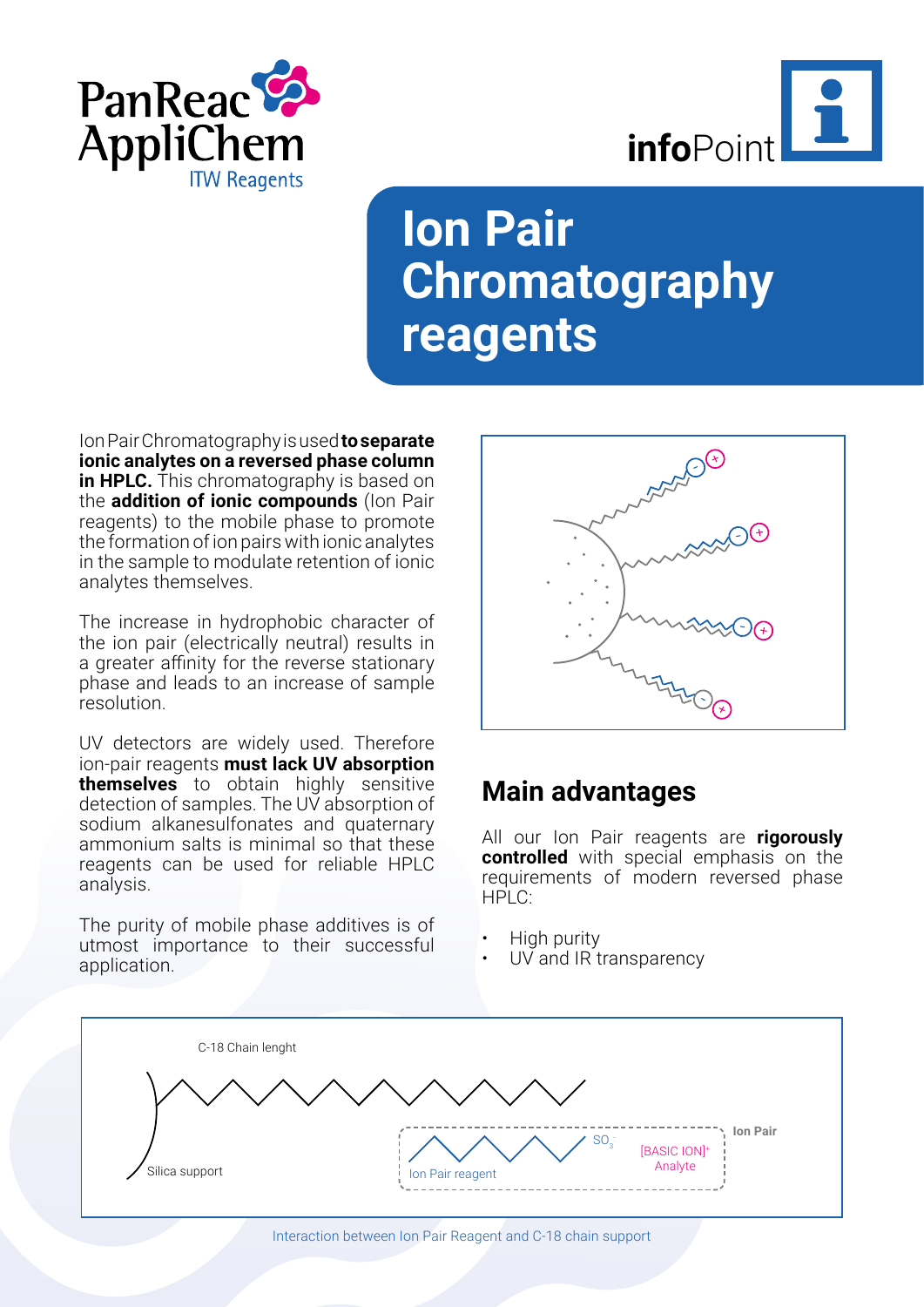



## **Ion Pair Chromatography reagents**

Ion Pair Chromatography is used **to separate ionic analytes on a reversed phase column in HPLC.** This chromatography is based on the **addition of ionic compounds** (Ion Pair reagents) to the mobile phase to promote the formation of ion pairs with ionic analytes in the sample to modulate retention of ionic analytes themselves.

The increase in hydrophobic character of the ion pair (electrically neutral) results in a greater affinity for the reverse stationary phase and leads to an increase of sample resolution.

UV detectors are widely used. Therefore ion-pair reagents **must lack UV absorption themselves** to obtain highly sensitive detection of samples. The UV absorption of sodium alkanesulfonates and quaternary ammonium salts is minimal so that these reagents can be used for reliable HPLC analysis.

The purity of mobile phase additives is of utmost importance to their successful application.



## **Main advantages**

All our Ion Pair reagents are **rigorously controlled** with special emphasis on the requirements of modern reversed phase HPLC:

- High purity
- UV and IR transparency



Interaction between Ion Pair Reagent and C-18 chain support